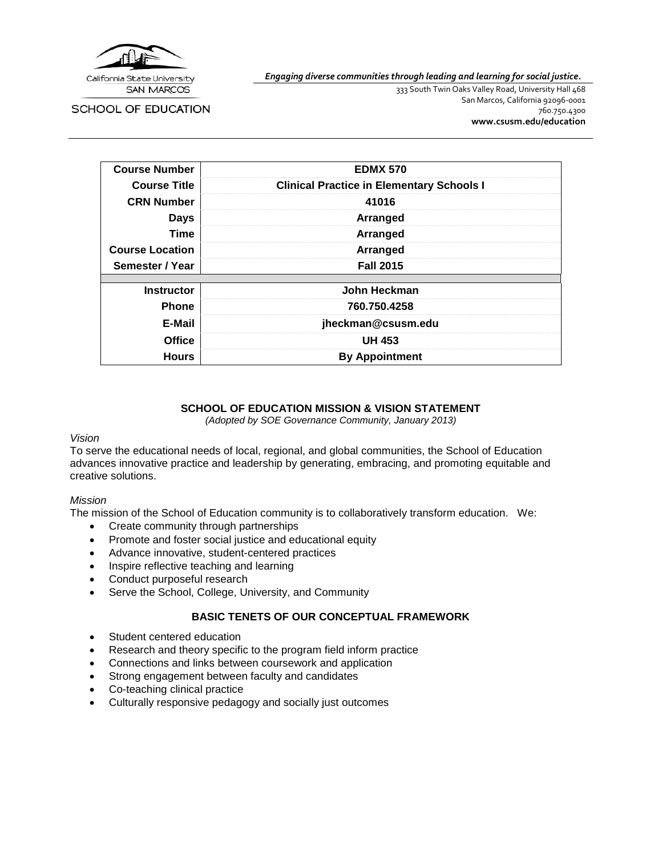

SCHOOL OF EDUCATION

*Engaging diverse communities through leading and learning for social justice.*

333 South Twin Oaks Valley Road, University Hall 468 San Marcos, California 92096-0001 760.750.4300 **[www.csusm.edu/education](http://www.csusm.edu/education)**

| <b>Course Number</b>   | <b>EDMX 570</b>                                  |
|------------------------|--------------------------------------------------|
| <b>Course Title</b>    | <b>Clinical Practice in Elementary Schools I</b> |
| <b>CRN Number</b>      | 41016                                            |
| <b>Days</b>            | Arranged                                         |
| Time                   | Arranged                                         |
| <b>Course Location</b> | Arranged                                         |
| Semester / Year        | <b>Fall 2015</b>                                 |
|                        |                                                  |
| <b>Instructor</b>      | John Heckman                                     |
| <b>Phone</b>           | 760.750.4258                                     |
| E-Mail                 | jheckman@csusm.edu                               |
| <b>Office</b>          | <b>UH 453</b>                                    |
| <b>Hours</b>           | <b>By Appointment</b>                            |

# **SCHOOL OF EDUCATION MISSION & VISION STATEMENT**

*(Adopted by SOE Governance Community, January 2013)*

#### *Vision*

To serve the educational needs of local, regional, and global communities, the School of Education advances innovative practice and leadership by generating, embracing, and promoting equitable and creative solutions.

## *Mission*

The mission of the School of Education community is to collaboratively transform education. We:

- Create community through partnerships
- Promote and foster social justice and educational equity
- Advance innovative, student-centered practices
- Inspire reflective teaching and learning
- Conduct purposeful research
- Serve the School, College, University, and Community

## **BASIC TENETS OF OUR CONCEPTUAL FRAMEWORK**

- Student centered education
- Research and theory specific to the program field inform practice
- Connections and links between coursework and application
- Strong engagement between faculty and candidates
- Co-teaching clinical practice
- Culturally responsive pedagogy and socially just outcomes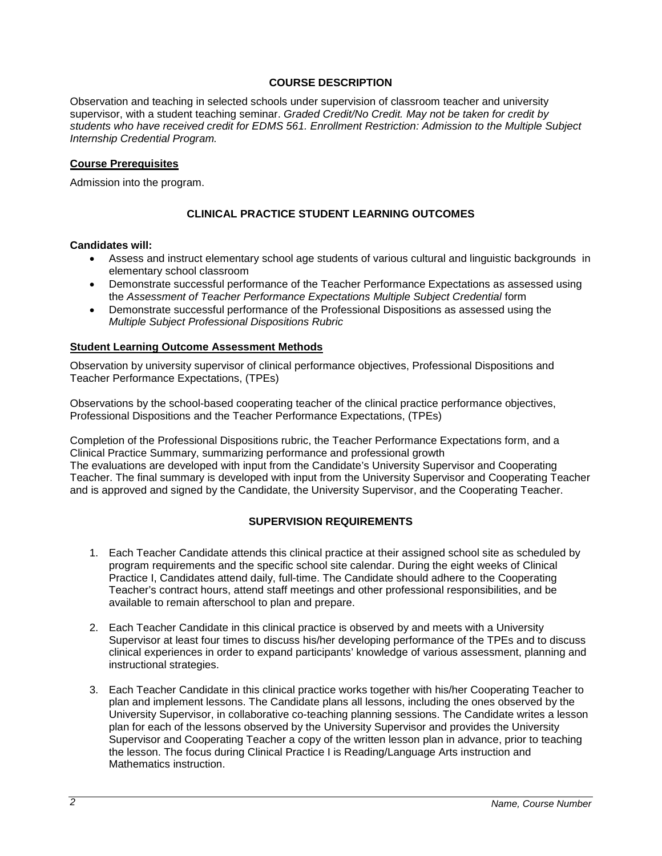## **COURSE DESCRIPTION**

Observation and teaching in selected schools under supervision of classroom teacher and university supervisor, with a student teaching seminar. *Graded Credit/No Credit. May not be taken for credit by students who have received credit for EDMS 561. Enrollment Restriction: Admission to the Multiple Subject Internship Credential Program.*

#### **Course Prerequisites**

Admission into the program.

# **CLINICAL PRACTICE STUDENT LEARNING OUTCOMES**

#### **Candidates will:**

- Assess and instruct elementary school age students of various cultural and linguistic backgrounds in elementary school classroom
- Demonstrate successful performance of the Teacher Performance Expectations as assessed using the *Assessment of Teacher Performance Expectations Multiple Subject Credential* form
- Demonstrate successful performance of the Professional Dispositions as assessed using the *Multiple Subject Professional Dispositions Rubric*

#### **Student Learning Outcome Assessment Methods**

Observation by university supervisor of clinical performance objectives, Professional Dispositions and Teacher Performance Expectations, (TPEs)

Observations by the school-based cooperating teacher of the clinical practice performance objectives, Professional Dispositions and the Teacher Performance Expectations, (TPEs)

Completion of the Professional Dispositions rubric, the Teacher Performance Expectations form, and a Clinical Practice Summary, summarizing performance and professional growth The evaluations are developed with input from the Candidate's University Supervisor and Cooperating Teacher. The final summary is developed with input from the University Supervisor and Cooperating Teacher and is approved and signed by the Candidate, the University Supervisor, and the Cooperating Teacher.

#### **SUPERVISION REQUIREMENTS**

- 1. Each Teacher Candidate attends this clinical practice at their assigned school site as scheduled by program requirements and the specific school site calendar. During the eight weeks of Clinical Practice I, Candidates attend daily, full-time. The Candidate should adhere to the Cooperating Teacher's contract hours, attend staff meetings and other professional responsibilities, and be available to remain afterschool to plan and prepare.
- 2. Each Teacher Candidate in this clinical practice is observed by and meets with a University Supervisor at least four times to discuss his/her developing performance of the TPEs and to discuss clinical experiences in order to expand participants' knowledge of various assessment, planning and instructional strategies.
- 3. Each Teacher Candidate in this clinical practice works together with his/her Cooperating Teacher to plan and implement lessons. The Candidate plans all lessons, including the ones observed by the University Supervisor, in collaborative co-teaching planning sessions. The Candidate writes a lesson plan for each of the lessons observed by the University Supervisor and provides the University Supervisor and Cooperating Teacher a copy of the written lesson plan in advance, prior to teaching the lesson. The focus during Clinical Practice I is Reading/Language Arts instruction and Mathematics instruction.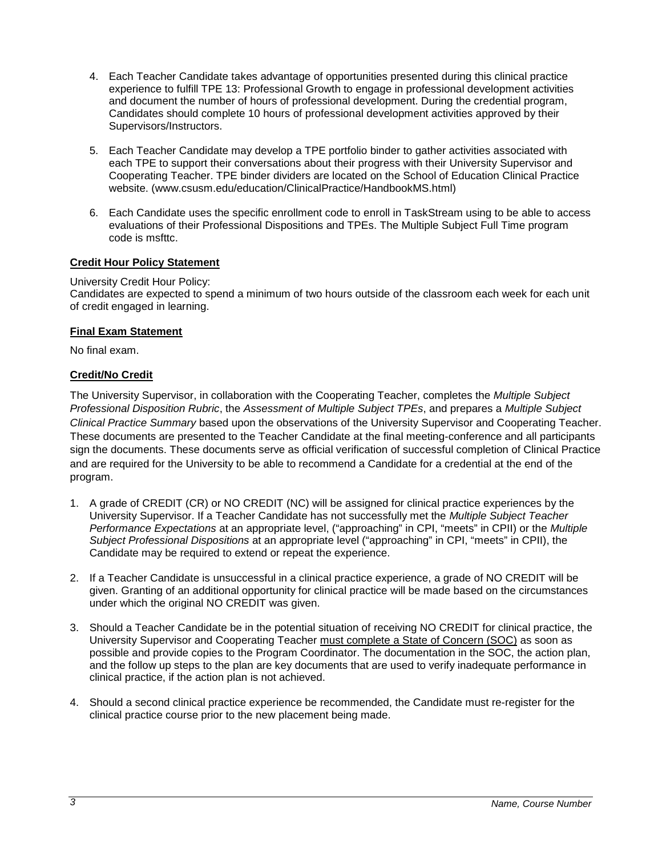- 4. Each Teacher Candidate takes advantage of opportunities presented during this clinical practice experience to fulfill TPE 13: Professional Growth to engage in professional development activities and document the number of hours of professional development. During the credential program, Candidates should complete 10 hours of professional development activities approved by their Supervisors/Instructors.
- 5. Each Teacher Candidate may develop a TPE portfolio binder to gather activities associated with each TPE to support their conversations about their progress with their University Supervisor and Cooperating Teacher. TPE binder dividers are located on the School of Education Clinical Practice website. (www.csusm.edu/education/ClinicalPractice/HandbookMS.html)
- 6. Each Candidate uses the specific enrollment code to enroll in TaskStream using to be able to access evaluations of their Professional Dispositions and TPEs. The Multiple Subject Full Time program code is msfttc.

# **Credit Hour Policy Statement**

#### University Credit Hour Policy:

Candidates are expected to spend a minimum of two hours outside of the classroom each week for each unit of credit engaged in learning.

#### **Final Exam Statement**

No final exam.

## **Credit/No Credit**

The University Supervisor, in collaboration with the Cooperating Teacher, completes the *Multiple Subject Professional Disposition Rubric*, the *Assessment of Multiple Subject TPEs*, and prepares a *Multiple Subject Clinical Practice Summary* based upon the observations of the University Supervisor and Cooperating Teacher. These documents are presented to the Teacher Candidate at the final meeting-conference and all participants sign the documents. These documents serve as official verification of successful completion of Clinical Practice and are required for the University to be able to recommend a Candidate for a credential at the end of the program.

- 1. A grade of CREDIT (CR) or NO CREDIT (NC) will be assigned for clinical practice experiences by the University Supervisor. If a Teacher Candidate has not successfully met the *Multiple Subject Teacher Performance Expectations* at an appropriate level, ("approaching" in CPI, "meets" in CPII) or the *Multiple Subject Professional Dispositions* at an appropriate level ("approaching" in CPI, "meets" in CPII), the Candidate may be required to extend or repeat the experience.
- 2. If a Teacher Candidate is unsuccessful in a clinical practice experience, a grade of NO CREDIT will be given. Granting of an additional opportunity for clinical practice will be made based on the circumstances under which the original NO CREDIT was given.
- 3. Should a Teacher Candidate be in the potential situation of receiving NO CREDIT for clinical practice, the University Supervisor and Cooperating Teacher must complete a State of Concern (SOC) as soon as possible and provide copies to the Program Coordinator. The documentation in the SOC, the action plan, and the follow up steps to the plan are key documents that are used to verify inadequate performance in clinical practice, if the action plan is not achieved.
- 4. Should a second clinical practice experience be recommended, the Candidate must re-register for the clinical practice course prior to the new placement being made.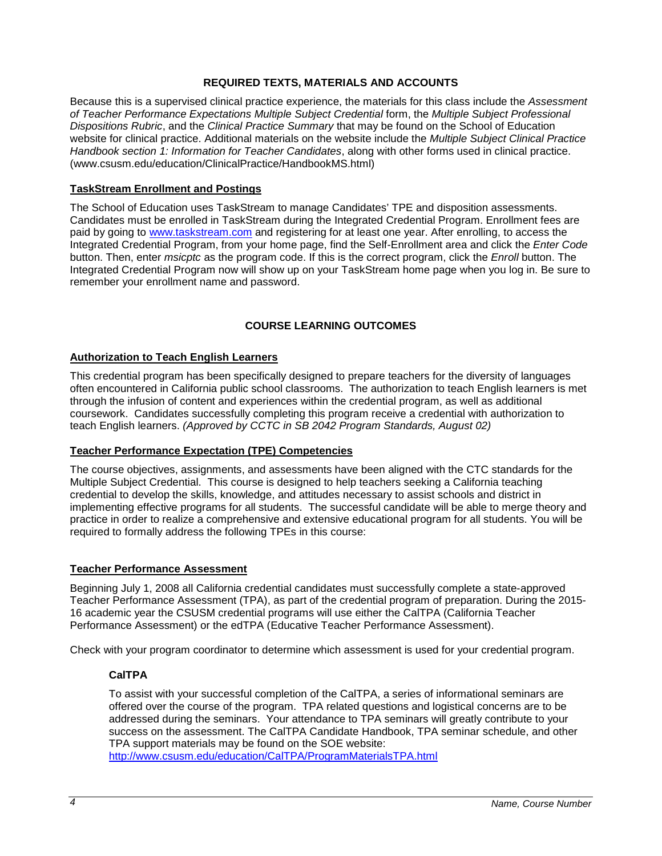## **REQUIRED TEXTS, MATERIALS AND ACCOUNTS**

Because this is a supervised clinical practice experience, the materials for this class include the *Assessment of Teacher Performance Expectations Multiple Subject Credential* form, the *Multiple Subject Professional Dispositions Rubric*, and the *Clinical Practice Summary* that may be found on the School of Education website for clinical practice. Additional materials on the website include the *Multiple Subject Clinical Practice Handbook section 1: Information for Teacher Candidates*, along with other forms used in clinical practice. (www.csusm.edu/education/ClinicalPractice/HandbookMS.html)

#### **TaskStream Enrollment and Postings**

The School of Education uses TaskStream to manage Candidates' TPE and disposition assessments. Candidates must be enrolled in TaskStream during the Integrated Credential Program. Enrollment fees are paid by going to [www.taskstream.com](http://www.taskstrem.com/) and registering for at least one year. After enrolling, to access the Integrated Credential Program, from your home page, find the Self-Enrollment area and click the *Enter Code* button. Then, enter *msicptc* as the program code. If this is the correct program, click the *Enroll* button. The Integrated Credential Program now will show up on your TaskStream home page when you log in. Be sure to remember your enrollment name and password.

## **COURSE LEARNING OUTCOMES**

#### **Authorization to Teach English Learners**

This credential program has been specifically designed to prepare teachers for the diversity of languages often encountered in California public school classrooms. The authorization to teach English learners is met through the infusion of content and experiences within the credential program, as well as additional coursework. Candidates successfully completing this program receive a credential with authorization to teach English learners. *(Approved by CCTC in SB 2042 Program Standards, August 02)*

## **Teacher Performance Expectation (TPE) Competencies**

The course objectives, assignments, and assessments have been aligned with the CTC standards for the Multiple Subject Credential. This course is designed to help teachers seeking a California teaching credential to develop the skills, knowledge, and attitudes necessary to assist schools and district in implementing effective programs for all students. The successful candidate will be able to merge theory and practice in order to realize a comprehensive and extensive educational program for all students. You will be required to formally address the following TPEs in this course:

#### **Teacher Performance Assessment**

Beginning July 1, 2008 all California credential candidates must successfully complete a state-approved Teacher Performance Assessment (TPA), as part of the credential program of preparation. During the 2015- 16 academic year the CSUSM credential programs will use either the CalTPA (California Teacher Performance Assessment) or the edTPA (Educative Teacher Performance Assessment).

Check with your program coordinator to determine which assessment is used for your credential program.

#### **CalTPA**

To assist with your successful completion of the CalTPA, a series of informational seminars are offered over the course of the program. TPA related questions and logistical concerns are to be addressed during the seminars. Your attendance to TPA seminars will greatly contribute to your success on the assessment. The CalTPA Candidate Handbook, TPA seminar schedule, and other TPA support materials may be found on the SOE website: <http://www.csusm.edu/education/CalTPA/ProgramMaterialsTPA.html>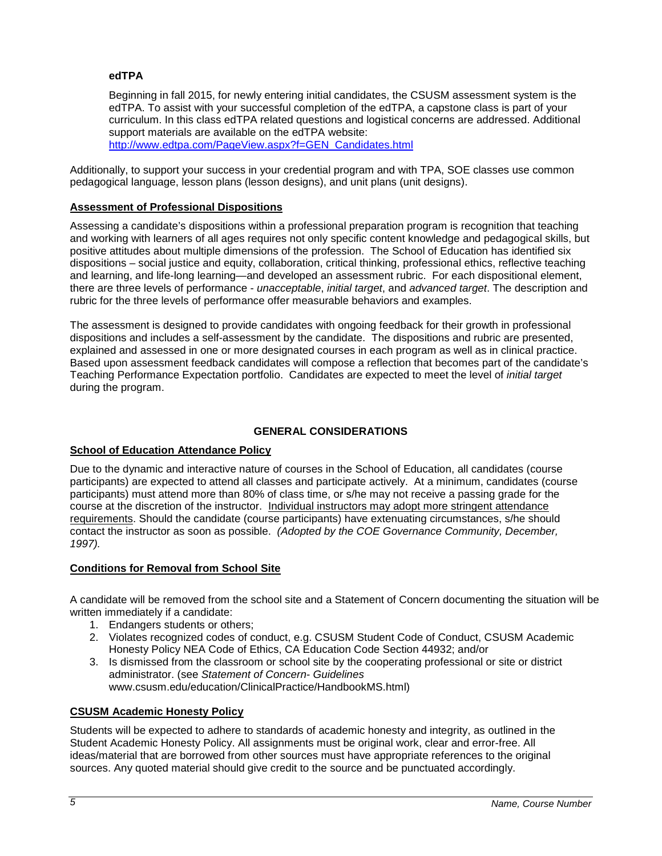#### **edTPA**

Beginning in fall 2015, for newly entering initial candidates, the CSUSM assessment system is the edTPA. To assist with your successful completion of the edTPA, a capstone class is part of your curriculum. In this class edTPA related questions and logistical concerns are addressed. Additional support materials are available on the edTPA website: [http://www.edtpa.com/PageView.aspx?f=GEN\\_Candidates.html](http://www.edtpa.com/PageView.aspx?f=GEN_Candidates.html)

Additionally, to support your success in your credential program and with TPA, SOE classes use common pedagogical language, lesson plans (lesson designs), and unit plans (unit designs).

#### **Assessment of Professional Dispositions**

Assessing a candidate's dispositions within a professional preparation program is recognition that teaching and working with learners of all ages requires not only specific content knowledge and pedagogical skills, but positive attitudes about multiple dimensions of the profession. The School of Education has identified six dispositions – social justice and equity, collaboration, critical thinking, professional ethics, reflective teaching and learning, and life-long learning—and developed an assessment rubric. For each dispositional element, there are three levels of performance - *unacceptable*, *initial target*, and *advanced target*. The description and rubric for the three levels of performance offer measurable behaviors and examples.

The assessment is designed to provide candidates with ongoing feedback for their growth in professional dispositions and includes a self-assessment by the candidate. The dispositions and rubric are presented, explained and assessed in one or more designated courses in each program as well as in clinical practice. Based upon assessment feedback candidates will compose a reflection that becomes part of the candidate's Teaching Performance Expectation portfolio. Candidates are expected to meet the level of *initial target* during the program.

## **GENERAL CONSIDERATIONS**

## **School of Education Attendance Policy**

Due to the dynamic and interactive nature of courses in the School of Education, all candidates (course participants) are expected to attend all classes and participate actively. At a minimum, candidates (course participants) must attend more than 80% of class time, or s/he may not receive a passing grade for the course at the discretion of the instructor. Individual instructors may adopt more stringent attendance requirements. Should the candidate (course participants) have extenuating circumstances, s/he should contact the instructor as soon as possible. *(Adopted by the COE Governance Community, December, 1997).*

## **Conditions for Removal from School Site**

A candidate will be removed from the school site and a Statement of Concern documenting the situation will be written immediately if a candidate:

- 1. Endangers students or others;
- 2. Violates recognized codes of conduct, e.g. CSUSM Student Code of Conduct, CSUSM Academic Honesty Policy NEA Code of Ethics, CA Education Code Section 44932; and/or
- 3. Is dismissed from the classroom or school site by the cooperating professional or site or district administrator. (see *Statement of Concern- Guidelines* www.csusm.edu/education/ClinicalPractice/HandbookMS.html)

## **CSUSM Academic Honesty Policy**

Students will be expected to adhere to standards of academic honesty and integrity, as outlined in the Student Academic Honesty Policy. All assignments must be original work, clear and error-free. All ideas/material that are borrowed from other sources must have appropriate references to the original sources. Any quoted material should give credit to the source and be punctuated accordingly.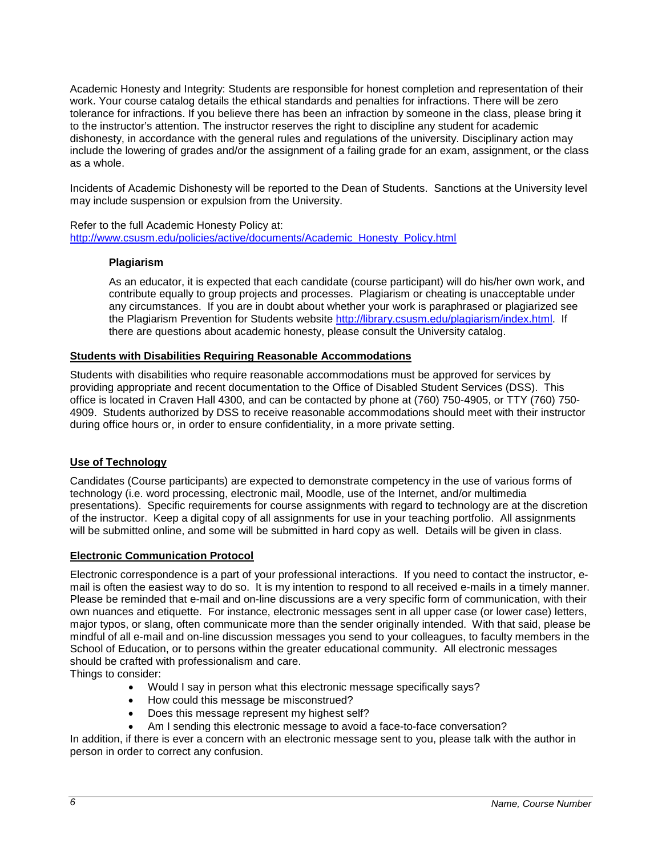Academic Honesty and Integrity: Students are responsible for honest completion and representation of their work. Your course catalog details the ethical standards and penalties for infractions. There will be zero tolerance for infractions. If you believe there has been an infraction by someone in the class, please bring it to the instructor's attention. The instructor reserves the right to discipline any student for academic dishonesty, in accordance with the general rules and regulations of the university. Disciplinary action may include the lowering of grades and/or the assignment of a failing grade for an exam, assignment, or the class as a whole.

Incidents of Academic Dishonesty will be reported to the Dean of Students. Sanctions at the University level may include suspension or expulsion from the University.

Refer to the full Academic Honesty Policy at: [http://www.csusm.edu/policies/active/documents/Academic\\_Honesty\\_Policy.html](http://www.csusm.edu/policies/active/documents/Academic_Honesty_Policy.html)

#### **Plagiarism**

As an educator, it is expected that each candidate (course participant) will do his/her own work, and contribute equally to group projects and processes. Plagiarism or cheating is unacceptable under any circumstances. If you are in doubt about whether your work is paraphrased or plagiarized see the Plagiarism Prevention for Students website [http://library.csusm.edu/plagiarism/index.html.](http://library.csusm.edu/plagiarism/index.html) If there are questions about academic honesty, please consult the University catalog.

#### **Students with Disabilities Requiring Reasonable Accommodations**

Students with disabilities who require reasonable accommodations must be approved for services by providing appropriate and recent documentation to the Office of Disabled Student Services (DSS). This office is located in Craven Hall 4300, and can be contacted by phone at (760) 750-4905, or TTY (760) 750- 4909. Students authorized by DSS to receive reasonable accommodations should meet with their instructor during office hours or, in order to ensure confidentiality, in a more private setting.

#### **Use of Technology**

Candidates (Course participants) are expected to demonstrate competency in the use of various forms of technology (i.e. word processing, electronic mail, Moodle, use of the Internet, and/or multimedia presentations). Specific requirements for course assignments with regard to technology are at the discretion of the instructor. Keep a digital copy of all assignments for use in your teaching portfolio. All assignments will be submitted online, and some will be submitted in hard copy as well. Details will be given in class.

## **Electronic Communication Protocol**

Electronic correspondence is a part of your professional interactions. If you need to contact the instructor, email is often the easiest way to do so. It is my intention to respond to all received e-mails in a timely manner. Please be reminded that e-mail and on-line discussions are a very specific form of communication, with their own nuances and etiquette. For instance, electronic messages sent in all upper case (or lower case) letters, major typos, or slang, often communicate more than the sender originally intended. With that said, please be mindful of all e-mail and on-line discussion messages you send to your colleagues, to faculty members in the School of Education, or to persons within the greater educational community. All electronic messages should be crafted with professionalism and care.

Things to consider:

- Would I say in person what this electronic message specifically says?
- How could this message be misconstrued?
- Does this message represent my highest self?
- Am I sending this electronic message to avoid a face-to-face conversation?

In addition, if there is ever a concern with an electronic message sent to you, please talk with the author in person in order to correct any confusion.